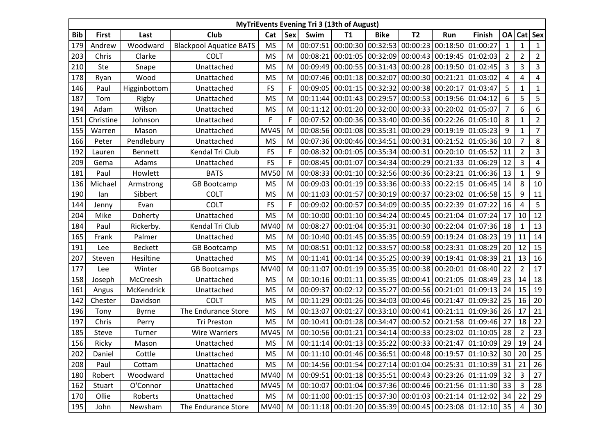| <b>MyTriEvents Evening Tri 3 (13th of August)</b> |              |                |                                |             |                |          |                   |                                                                                      |           |                            |                                                                                                               |                |                |                |
|---------------------------------------------------|--------------|----------------|--------------------------------|-------------|----------------|----------|-------------------|--------------------------------------------------------------------------------------|-----------|----------------------------|---------------------------------------------------------------------------------------------------------------|----------------|----------------|----------------|
| <b>Bib</b>                                        | <b>First</b> | Last           | Club                           | Cat         | Sex            | Swim     | <b>T1</b>         | <b>Bike</b>                                                                          | <b>T2</b> | Run                        | <b>Finish</b>                                                                                                 | <b>OA</b>      | Cat            | <b>Sex</b>     |
| 179                                               | Andrew       | Woodward       | <b>Blackpool Aquatice BATS</b> | <b>MS</b>   | M              | 00:07:51 |                   | $\vert$ 00:00:30 $\vert$ 00:32:53 $\vert$ 00:00:23 $\vert$ 00:18:50 $\vert$          |           |                            | 01:00:27                                                                                                      | 1              | 1              | $\mathbf{1}$   |
| 203                                               | Chris        | Clarke         | <b>COLT</b>                    | <b>MS</b>   | M              |          |                   | 00:08:21 00:01:05 00:32:09 00:00:43 00:19:45 01:02:03                                |           |                            |                                                                                                               | $\overline{2}$ | $\overline{2}$ | $\overline{2}$ |
| 210                                               | <b>Ste</b>   | Snape          | Unattached                     | <b>MS</b>   | M              |          |                   | 00:09:49 00:00:55 00:31:43 00:00:28 00:19:50 01:02:45                                |           |                            |                                                                                                               | 3              | 3              | 3              |
| 178                                               | Ryan         | Wood           | Unattached                     | <b>MS</b>   | M              |          |                   | 00:07:46 00:01:18 00:32:07 00:00:30 00:21:21                                         |           |                            | 01:03:02                                                                                                      | 4              | 4              | 4              |
| 146                                               | Paul         | Higginbottom   | Unattached                     | <b>FS</b>   | F              |          |                   | 00:09:05 00:01:15 00:32:32 00:00:38 00:20:17                                         |           |                            | 01:03:47                                                                                                      | 5              | 1              | $\mathbf{1}$   |
| 187                                               | Tom          | Rigby          | Unattached                     | <b>MS</b>   | M              | 00:11:44 |                   | $\vert$ 00:01:43 $\vert$ 00:29:57 $\vert$ 00:00:53 $\vert$ 00:19:56 $\vert$ 01:04:12 |           |                            |                                                                                                               | 6              | 5              | 5              |
| 194                                               | Adam         | Wilson         | Unattached                     | <b>MS</b>   | M              |          |                   | 00:11:12 00:01:20 00:32:00 00:00:33 00:20:02 01:05:07                                |           |                            |                                                                                                               | $\overline{7}$ | 6              | 6              |
| 151                                               | Christine    | Johnson        | Unattached                     | F           | F              |          |                   | 00:07:52 00:00:36 00:33:40 00:00:36 00:22:26 01:05:10                                |           |                            |                                                                                                               | 8              | 1              | $\overline{2}$ |
| 155                                               | Warren       | Mason          | Unattached                     | <b>MV45</b> | M              |          |                   | 00:08:56 00:01:08 00:35:31 00:00:29 00:19:19 01:05:23                                |           |                            |                                                                                                               | 9              | 1              | $\overline{7}$ |
| 166                                               | Peter        | Pendlebury     | Unattached                     | <b>MS</b>   | M              |          |                   |                                                                                      |           |                            | 00:07:36 00:00:46 00:34:51 00:00:31 00:21:52 01:05:36                                                         | 10             | 7              | 8              |
| 192                                               | Lauren       | <b>Bennett</b> | Kendal Tri Club                | <b>FS</b>   | F              | 00:08:32 |                   | $\vert$ 00:01:05 $\vert$ 00:35:34 $\vert$ 00:00:31 $\vert$ 00:20:10 $\vert$          |           |                            | 01:05:52                                                                                                      | 11             | $\overline{2}$ | 3              |
| 209                                               | Gema         | Adams          | Unattached                     | <b>FS</b>   | F              |          |                   |                                                                                      |           |                            | 00:08:45 00:01:07 00:34:34 00:00:29 00:21:33 01:06:29                                                         | 12             | 3              | 4              |
| 181                                               | Paul         | Howlett        | <b>BATS</b>                    | <b>MV50</b> | M              |          |                   |                                                                                      |           |                            | 00:08:33 00:01:10 00:32:56 00:00:36 00:23:21 01:06:36                                                         | 13             | 1              | 9              |
| 136                                               | Michael      | Armstrong      | <b>GB Bootcamp</b>             | <b>MS</b>   | M              |          |                   |                                                                                      |           |                            | 00:09:03 00:01:19 00:33:36 00:00:33 00:22:15 01:06:45                                                         | 14             | 8              | 10             |
| 190                                               | lan          | Sibbert        | <b>COLT</b>                    | <b>MS</b>   | M              |          |                   |                                                                                      |           |                            | 00:11:03 00:01:57 00:30:19 00:00:37 00:23:02 01:06:58                                                         | 15             | 9              | 11             |
| 144                                               | Jenny        | Evan           | <b>COLT</b>                    | <b>FS</b>   | $\overline{F}$ |          |                   |                                                                                      |           |                            | 00:09:02 00:00:57 00:34:09 00:00:35 00:22:39 01:07:22                                                         | 16             | 4              | 5              |
| 204                                               | Mike         | Doherty        | Unattached                     | <b>MS</b>   | M              |          |                   |                                                                                      |           |                            | 00:10:00 00:01:10 00:34:24 00:00:45 00:21:04 01:07:24                                                         | 17             | 10             | 12             |
| 184                                               | Paul         | Rickerby.      | Kendal Tri Club                | MV40        | M              | 00:08:27 |                   | 00:01:04 00:35:31                                                                    |           |                            | 00:00:30 00:22:04 01:07:36                                                                                    | 18             | $\mathbf{1}$   | 13             |
| 165                                               | Frank        | Palmer         | Unattached                     | <b>MS</b>   | M              |          |                   | 00:10:40 00:01:45 00:35:35 00:00:59 00:19:24                                         |           |                            | 01:08:23                                                                                                      | 19             | 11             | 14             |
| 191                                               | Lee          | <b>Beckett</b> | <b>GB Bootcamp</b>             | <b>MS</b>   | M              | 00:08:51 |                   | 00:01:12 00:33:57 00:00:58 00:23:31                                                  |           |                            | 01:08:29                                                                                                      | 20             | 12             | 15             |
| 207                                               | Steven       | Hesiltine      | Unattached                     | <b>MS</b>   | M              |          |                   |                                                                                      |           |                            | 00:11:41 00:01:14 00:35:25 00:00:39 00:19:41 01:08:39                                                         | 21             | 13             | 16             |
| 177                                               | Lee          | Winter         | <b>GB Bootcamps</b>            | <b>MV40</b> | M              | 00:11:07 |                   | $\vert$ 00:01:19 $\vert$ 00:35:35 $\vert$ 00:00:38 $\vert$ 00:20:01 $\vert$          |           |                            | 01:08:40                                                                                                      | 22             | 2              | 17             |
| 158                                               | Joseph       | McCreesh       | Unattached                     | <b>MS</b>   | M              | 00:10:16 |                   | 00:01:11 00:35:35 00:00:41 00:21:05 01:08:49                                         |           |                            |                                                                                                               | 23             | 14             | 18             |
| 161                                               | Angus        | McKendrick     | Unattached                     | <b>MS</b>   | M              | 00:09:37 |                   | $\vert$ 00:02:12 $\vert$ 00:35:27 $\vert$ 00:00:56 $\vert$ 00:21:01 $\vert$          |           |                            | 01:09:13                                                                                                      | 24             | 15             | 19             |
| 142                                               | Chester      | Davidson       | <b>COLT</b>                    | <b>MS</b>   | M              |          |                   | 00:11:29 00:01:26 00:34:03 00:00:46 00:21:47 01:09:32                                |           |                            |                                                                                                               | 25             | 16             | 20             |
| 196                                               | Tony         | <b>Byrne</b>   | The Endurance Store            | <b>MS</b>   | M              |          |                   | 00:13:07 00:01:27 00:33:10 00:00:41 00:21:11                                         |           |                            | 01:09:36                                                                                                      | 26             | 17             | 21             |
| 197                                               | Chris        | Perry          | <b>Tri Preston</b>             | <b>MS</b>   | M              | 00:10:41 | 00:01:28 00:34:47 |                                                                                      |           | 00:00:52 00:21:58 01:09:46 |                                                                                                               | 27             | 18             | 22             |
| 185                                               | Steve        | Turner         | <b>Wire Warriers</b>           | <b>MV45</b> | M              |          |                   | 00:10:56 00:01:21 00:34:14 00:00:33 00:23:02 01:10:05                                |           |                            |                                                                                                               | 28             | $\overline{2}$ | 23             |
| 156                                               | Ricky        | Mason          | Unattached                     | <b>MS</b>   | M              |          |                   |                                                                                      |           |                            | $\vert$ 00:11:14 $\vert$ 00:01:13 $\vert$ 00:35:22 $\vert$ 00:00:33 $\vert$ 00:21:47 $\vert$ 01:10:09 $\vert$ | 29             | 19             | 24             |
| 202                                               | Daniel       | Cottle         | Unattached                     | <b>MS</b>   | M              |          |                   |                                                                                      |           |                            | $\vert 00:11:10 \vert 00:01:46 \vert 00:36:51 \vert 00:00:48 \vert 00:19:57 \vert 01:10:32 \vert 30$          |                | 20             | 25             |
| 208                                               | Paul         | Cottam         | Unattached                     | <b>MS</b>   | M              |          |                   |                                                                                      |           |                            | 00:14:56 00:01:54 00:27:14 00:01:04 00:25:31 01:10:39 31                                                      |                | 21             | 26             |
| 180                                               | Robert       | Woodward       | Unattached                     | <b>MV40</b> | M              |          |                   |                                                                                      |           |                            | 00:09:51 00:01:18 00:35:51 00:00:43 00:23:26 01:11:09                                                         | 32             | 3              | 27             |
| 162                                               | Stuart       | O'Connor       | Unattached                     | <b>MV45</b> | M              |          |                   |                                                                                      |           |                            | 00:10:07 00:01:04 00:37:36 00:00:46 00:21:56 01:11:30 33                                                      |                | 3              | 28             |
| 170                                               | Ollie        | Roberts        | Unattached                     | <b>MS</b>   | M              |          |                   |                                                                                      |           |                            | 00:11:00 00:01:15 00:37:30 00:01:03 00:21:14 01:12:02 34                                                      |                | 22             | 29             |
| 195                                               | John         | Newsham        | The Endurance Store            | MV40        |                |          |                   |                                                                                      |           |                            | M   00:11:18   00:01:20   00:35:39   00:00:45   00:23:08   01:12:10   35                                      |                | 4              | 30             |